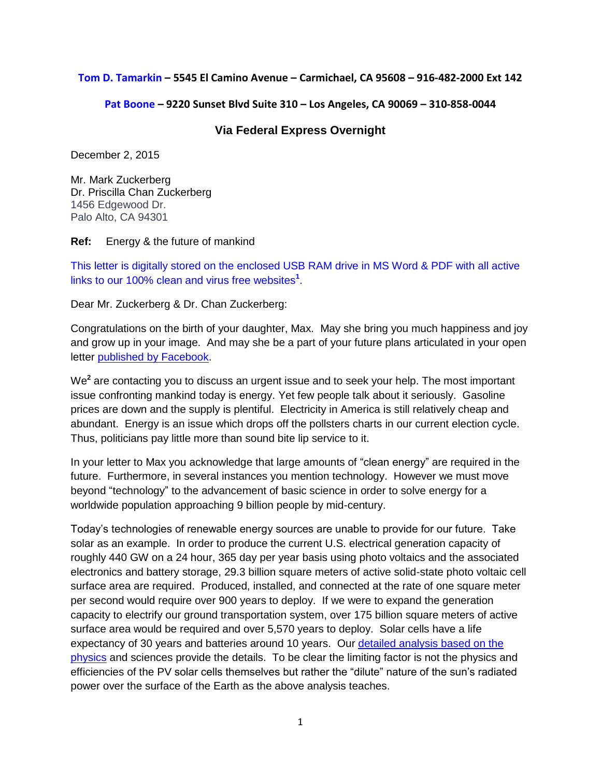### **Tom D. Tamarkin – 5545 El Camino Avenue – Carmichael, CA 95608 – 916-482-2000 Ext 142**

### **Pat Boone – 9220 Sunset Blvd Suite 310 – Los Angeles, CA 90069 – 310-858-0044**

## **Via Federal Express Overnight**

December 2, 2015

Mr. Mark Zuckerberg Dr. Priscilla Chan Zuckerberg 1456 Edgewood Dr. Palo Alto, CA 94301

### **Ref:** Energy & the future of mankind

This letter is digitally stored on the enclosed USB RAM drive in MS Word & PDF with all active links to our 100% clean and virus free websites**<sup>1</sup>** .

Dear Mr. Zuckerberg & Dr. Chan Zuckerberg:

Congratulations on the birth of your daughter, Max. May she bring you much happiness and joy and grow up in your image. And may she be a part of your future plans articulated in your open letter [published by Facebook.](https://www.facebook.com/notes/mark-zuckerberg/a-letter-to-our-daughter/10153375081581634/)

We**<sup>2</sup>** are contacting you to discuss an urgent issue and to seek your help. The most important issue confronting mankind today is energy. Yet few people talk about it seriously. Gasoline prices are down and the supply is plentiful. Electricity in America is still relatively cheap and abundant. Energy is an issue which drops off the pollsters charts in our current election cycle. Thus, politicians pay little more than sound bite lip service to it.

In your letter to Max you acknowledge that large amounts of "clean energy" are required in the future. Furthermore, in several instances you mention technology. However we must move beyond "technology" to the advancement of basic science in order to solve energy for a worldwide population approaching 9 billion people by mid-century.

Today's technologies of renewable energy sources are unable to provide for our future. Take solar as an example. In order to produce the current U.S. electrical generation capacity of roughly 440 GW on a 24 hour, 365 day per year basis using photo voltaics and the associated electronics and battery storage, 29.3 billion square meters of active solid-state photo voltaic cell surface area are required. Produced, installed, and connected at the rate of one square meter per second would require over 900 years to deploy. If we were to expand the generation capacity to electrify our ground transportation system, over 175 billion square meters of active surface area would be required and over 5,570 years to deploy. Solar cells have a life expectancy of 30 years and batteries around 10 years. Our [detailed analysis based on the](http://fusion4freedom.us/going-solar/)  [physics](http://fusion4freedom.us/going-solar/) and sciences provide the details. To be clear the limiting factor is not the physics and efficiencies of the PV solar cells themselves but rather the "dilute" nature of the sun's radiated power over the surface of the Earth as the above analysis teaches.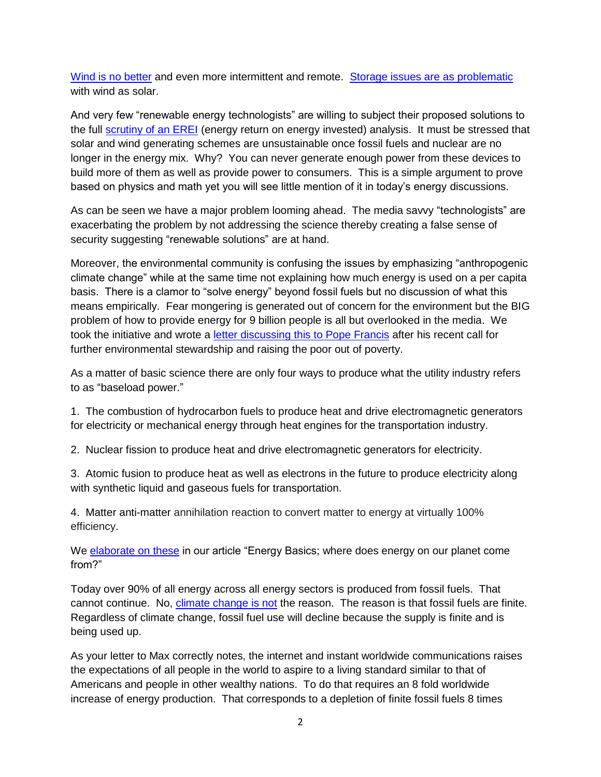[Wind is no better](http://fusion4freedom.us/wind-power-technology-and-economics/) and even more intermittent and remote. [Storage issues are](http://fusion4freedom.us/grid-scale-energy-storage-systems/) as problematic with wind as solar.

And very few "renewable energy technologists" are willing to subject their proposed solutions to the full **scrutiny of an EREI** (energy return on energy invested) analysis. It must be stressed that solar and wind generating schemes are unsustainable once fossil fuels and nuclear are no longer in the energy mix. Why? You can never generate enough power from these devices to build more of them as well as provide power to consumers. This is a simple argument to prove based on physics and math yet you will see little mention of it in today's energy discussions.

As can be seen we have a major problem looming ahead. The media savvy "technologists" are exacerbating the problem by not addressing the science thereby creating a false sense of security suggesting "renewable solutions" are at hand.

Moreover, the environmental community is confusing the issues by emphasizing "anthropogenic climate change" while at the same time not explaining how much energy is used on a per capita basis. There is a clamor to "solve energy" beyond fossil fuels but no discussion of what this means empirically. Fear mongering is generated out of concern for the environment but the BIG problem of how to provide energy for 9 billion people is all but overlooked in the media. We took the initiative and wrote a [letter discussing this to Pope Francis](http://fusion4freedom.us/letter-to-pope-francis/) after his recent call for further environmental stewardship and raising the poor out of poverty.

As a matter of basic science there are only four ways to produce what the utility industry refers to as "baseload power."

1. The combustion of hydrocarbon fuels to produce heat and drive electromagnetic generators for electricity or mechanical energy through heat engines for the transportation industry.

2. Nuclear fission to produce heat and drive electromagnetic generators for electricity.

3. Atomic fusion to produce heat as well as electrons in the future to produce electricity along with synthetic liquid and gaseous fuels for transportation.

4. Matter anti-matter annihilation reaction to convert matter to energy at virtually 100% efficiency.

We [elaborate on these](http://fusion4freedom.us/energy-basics/) in our article "Energy Basics; where does energy on our planet come from?"

Today over 90% of all energy across all energy sectors is produced from fossil fuels. That cannot continue. No, [climate change is not](http://fusion4freedom.us/battle-of-the-century/) the reason. The reason is that fossil fuels are finite. Regardless of climate change, fossil fuel use will decline because the supply is finite and is being used up.

As your letter to Max correctly notes, the internet and instant worldwide communications raises the expectations of all people in the world to aspire to a living standard similar to that of Americans and people in other wealthy nations. To do that requires an 8 fold worldwide increase of energy production. That corresponds to a depletion of finite fossil fuels 8 times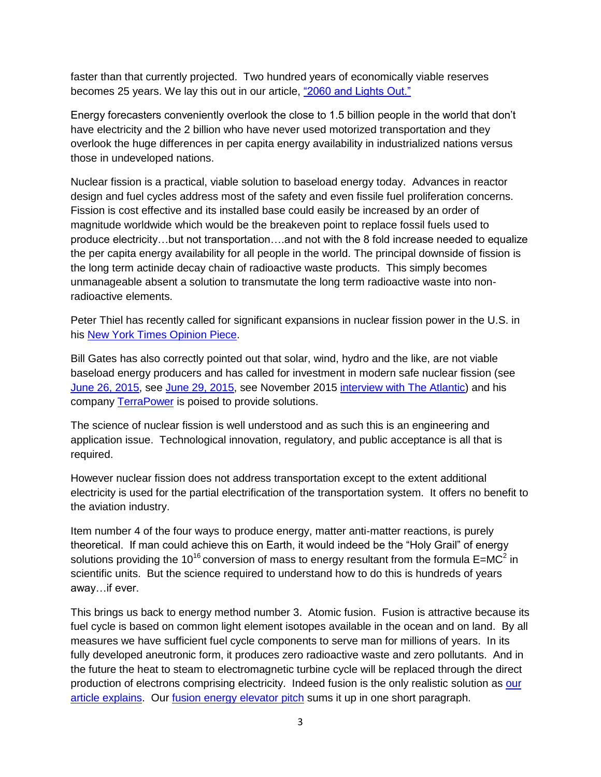faster than that currently projected. Two hundred years of economically viable reserves becomes 25 years. We lay this out in our article, ["2060 and Lights Out."](http://fusion4freedom.us/when-the-lights-go-out/)

Energy forecasters conveniently overlook the close to 1.5 billion people in the world that don't have electricity and the 2 billion who have never used motorized transportation and they overlook the huge differences in per capita energy availability in industrialized nations versus those in undeveloped nations.

Nuclear fission is a practical, viable solution to baseload energy today. Advances in reactor design and fuel cycles address most of the safety and even fissile fuel proliferation concerns. Fission is cost effective and its installed base could easily be increased by an order of magnitude worldwide which would be the breakeven point to replace fossil fuels used to produce electricity…but not transportation….and not with the 8 fold increase needed to equalize the per capita energy availability for all people in the world. The principal downside of fission is the long term actinide decay chain of radioactive waste products. This simply becomes unmanageable absent a solution to transmutate the long term radioactive waste into nonradioactive elements.

Peter Thiel has recently called for significant expansions in nuclear fission power in the U.S. in his [New York Times Opinion Piece.](http://fusion4freedom.us/the-new-atomic-age-we-need/)

Bill Gates has also correctly pointed out that solar, wind, hydro and the like, are not viable baseload energy producers and has called for investment in modern safe nuclear fission (see [June 26, 2015,](http://fusion4freedom.us/gates-renewable-energy-cant-do-the-job-gov-should-switch-green-subsidies-into-rd/) see [June 29, 2015,](http://fusion4freedom.us/bill-gates-to-help-fight-climate-change-by-investing-up-to-2-billion-in-green-technology/) see November 2015 [interview with The Atlantic\)](http://fusion4freedom.us/an-interview-with-bill-gates/) and his company [TerraPower](http://terrapower.com/) is poised to provide solutions.

The science of nuclear fission is well understood and as such this is an engineering and application issue. Technological innovation, regulatory, and public acceptance is all that is required.

However nuclear fission does not address transportation except to the extent additional electricity is used for the partial electrification of the transportation system. It offers no benefit to the aviation industry.

Item number 4 of the four ways to produce energy, matter anti-matter reactions, is purely theoretical. If man could achieve this on Earth, it would indeed be the "Holy Grail" of energy solutions providing the 10<sup>16</sup> conversion of mass to energy resultant from the formula E=MC<sup>2</sup> in scientific units. But the science required to understand how to do this is hundreds of years away…if ever.

This brings us back to energy method number 3. Atomic fusion. Fusion is attractive because its fuel cycle is based on common light element isotopes available in the ocean and on land. By all measures we have sufficient fuel cycle components to serve man for millions of years. In its fully developed aneutronic form, it produces zero radioactive waste and zero pollutants. And in the future the heat to steam to electromagnetic turbine cycle will be replaced through the direct production of electrons comprising electricity. Indeed fusion is the only realistic solution as [our](http://fusion4freedom.us/why-fusion-is-the-only-solution/)  [article explains.](http://fusion4freedom.us/why-fusion-is-the-only-solution/) Our [fusion energy elevator pitch](http://fusion4freedom.us/elevator-speech/) sums it up in one short paragraph.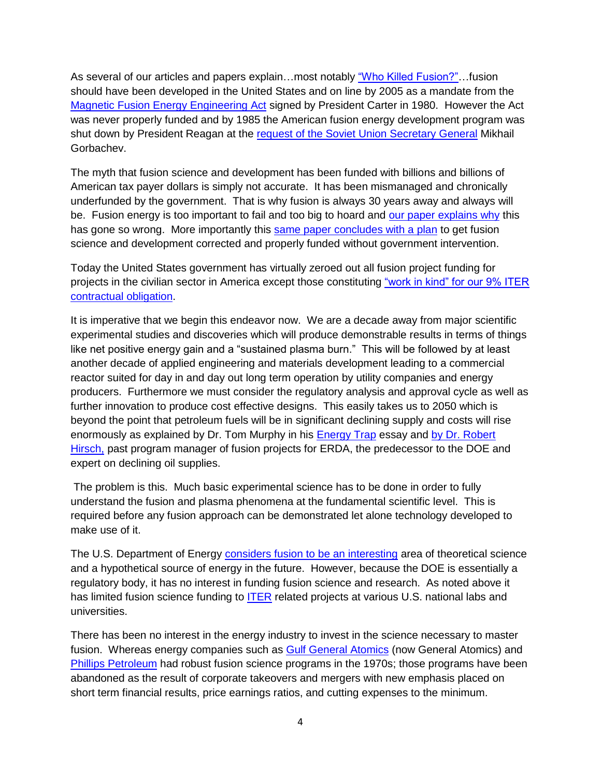As several of our articles and papers explain…most notably ["Who Killed Fusion?"…](http://fusion4freedom.us/who-killed-fusion/)fusion should have been developed in the United States and on line by 2005 as a mandate from the [Magnetic Fusion Energy Engineering Act](http://fusion4freedom.us/magnetic-fusion-energy-engineering-act-of-1980-mfeea/) signed by President Carter in 1980. However the Act was never properly funded and by 1985 the American fusion energy development program was shut down by President Reagan at the [request of the Soviet Union Secretary General](http://fusion4freedom.us/how-russia-caused-the-worlds-preeminent-super-power-to-lose-25-years-in-its-quest-to-correctly-solve-energy/) Mikhail Gorbachev.

The myth that fusion science and development has been funded with billions and billions of American tax payer dollars is simply not accurate. It has been mismanaged and chronically underfunded by the government. That is why fusion is always 30 years away and always will be. Fusion energy is too important to fail and too big to hoard and [our paper explains why](http://fusion4freedom.us/fusion-energy-too-important-to-fail-too-big-to-hoard/) this has gone so wrong. More importantly this [same paper concludes with a plan](http://fusion4freedom.us/fusion-energy-too-important-to-fail-too-big-to-hoard/) to get fusion science and development corrected and properly funded without government intervention.

Today the United States government has virtually zeroed out all fusion project funding for projects in the civilian sector in America except those constituting ["work in kind" for our 9% ITER](http://fusion4freedom.us/on-the-program-vision-and-budget-for-the-fusion-and-plasma-sciences/)  [contractual obligation.](http://fusion4freedom.us/on-the-program-vision-and-budget-for-the-fusion-and-plasma-sciences/)

It is imperative that we begin this endeavor now. We are a decade away from major scientific experimental studies and discoveries which will produce demonstrable results in terms of things like net positive energy gain and a "sustained plasma burn." This will be followed by at least another decade of applied engineering and materials development leading to a commercial reactor suited for day in and day out long term operation by utility companies and energy producers. Furthermore we must consider the regulatory analysis and approval cycle as well as further innovation to produce cost effective designs. This easily takes us to 2050 which is beyond the point that petroleum fuels will be in significant declining supply and costs will rise enormously as explained by Dr. Tom Murphy in his [Energy Trap](http://fusion4freedom.us/the-energy-trap/) essay and [by Dr. Robert](http://fusion4freedom.us/dr-robert-l-hirsch-on-oil-and-the-need-to-create-future-synthetic-liquid-and-gaseous-fuels-reflections-on-climate-change-policy/)  [Hirsch,](http://fusion4freedom.us/dr-robert-l-hirsch-on-oil-and-the-need-to-create-future-synthetic-liquid-and-gaseous-fuels-reflections-on-climate-change-policy/) past program manager of fusion projects for ERDA, the predecessor to the DOE and expert on declining oil supplies.

The problem is this. Much basic experimental science has to be done in order to fully understand the fusion and plasma phenomena at the fundamental scientific level. This is required before any fusion approach can be demonstrated let alone technology developed to make use of it.

The U.S. Department of Energy [considers fusion to be an interesting](http://science.energy.gov/fes/) area of theoretical science and a hypothetical source of energy in the future. However, because the DOE is essentially a regulatory body, it has no interest in funding fusion science and research. As noted above it has limited fusion science funding to [ITER](https://www.iter.org/) related projects at various U.S. national labs and universities.

There has been no interest in the energy industry to invest in the science necessary to master fusion. Whereas energy companies such as [Gulf General Atomics](http://www.fundinguniverse.com/company-histories/general-atomics-history/) (now General Atomics) and [Phillips Petroleum](http://fuelrfuture.com/flashback-we-are-definitely-on-the-way-to-nuclear-fusion-scientist-says/#phillips) had robust fusion science programs in the 1970s; those programs have been abandoned as the result of corporate takeovers and mergers with new emphasis placed on short term financial results, price earnings ratios, and cutting expenses to the minimum.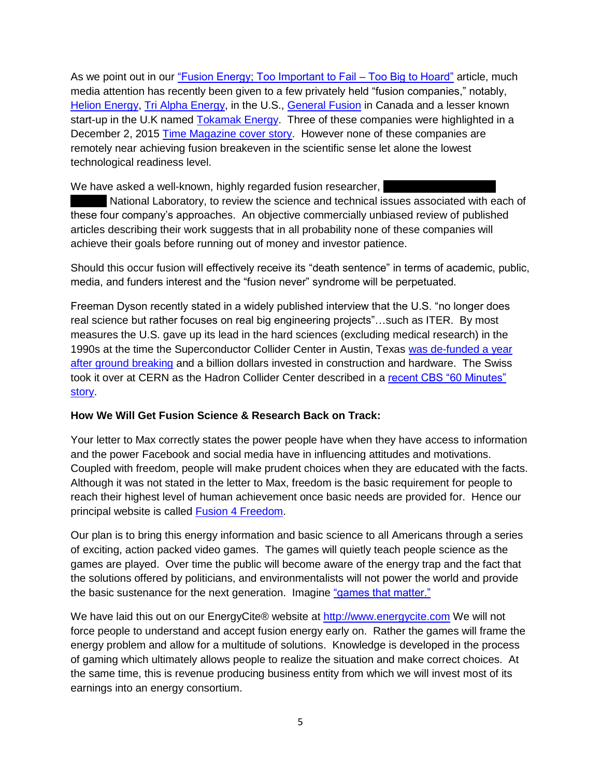As we point out in our ["Fusion Energy; Too Important to Fail –](http://fusion4freedom.us/fusion-energy-too-important-to-fail-too-big-to-hoard/) Too Big to Hoard" article, much media attention has recently been given to a few privately held "fusion companies," notably, [Helion Energy,](http://fusion4freedom.us/helion-energy-takes-in-10-6m-for-fusion-energy/) [Tri Alpha Energy,](http://fusion4freedom.us/tri-alpha-energy/) in the U.S., [General Fusion](http://fusion4freedom.us/general-fusion-raises-another-27-million-to-advance-its-reactor-concept/) in Canada and a lesser known start-up in the U.K named [Tokamak Energy.](http://fusion4freedom.us/uk-nuclear-fusion-energy-firm-tokamak-joins-global-giants-google-dropbox-and-mozilla-as-world-economic-forum-technology-pioneer-award-winner/) Three of these companies were highlighted in a December 2, 2015 [Time Magazine cover story.](http://fusion4freedom.us/inside-the-quest-for-fusion-clean-energys-holy-grail/) However none of these companies are remotely near achieving fusion breakeven in the scientific sense let alone the lowest technological readiness level.

We have asked a well-known, highly regarded fusion researcher,

National Laboratory, to review the science and technical issues associated with each of these four company's approaches. An objective commercially unbiased review of published articles describing their work suggests that in all probability none of these companies will achieve their goals before running out of money and investor patience.

Should this occur fusion will effectively receive its "death sentence" in terms of academic, public, media, and funders interest and the "fusion never" syndrome will be perpetuated.

Freeman Dyson recently stated in a widely published interview that the U.S. "no longer does real science but rather focuses on real big engineering projects"…such as ITER. By most measures the U.S. gave up its lead in the hard sciences (excluding medical research) in the 1990s at the time the Superconductor Collider Center in Austin, Texas [was de-funded a year](http://fusion4freedom.us/how-texas-lost-the-worlds-largest-super-collider/)  after [ground breaking](http://fusion4freedom.us/how-texas-lost-the-worlds-largest-super-collider/) and a billion dollars invested in construction and hardware. The Swiss took it over at CERN as the Hadron Collider Center described in a recent CBS "60 Minutes" [story.](http://energycite.com/collider.php)

# **How We Will Get Fusion Science & Research Back on Track:**

Your letter to Max correctly states the power people have when they have access to information and the power Facebook and social media have in influencing attitudes and motivations. Coupled with freedom, people will make prudent choices when they are educated with the facts. Although it was not stated in the letter to Max, freedom is the basic requirement for people to reach their highest level of human achievement once basic needs are provided for. Hence our principal website is called [Fusion 4 Freedom.](http://fusion4freedom.us/)

Our plan is to bring this energy information and basic science to all Americans through a series of exciting, action packed video games. The games will quietly teach people science as the games are played. Over time the public will become aware of the energy trap and the fact that the solutions offered by politicians, and environmentalists will not power the world and provide the basic sustenance for the next generation. Imagine ["games that matter."](http://gamesthatmatter.biz/)

We have laid this out on our EnergyCite® website at [http://www.energycite.com](http://www.energycite.com/) We will not force people to understand and accept fusion energy early on. Rather the games will frame the energy problem and allow for a multitude of solutions. Knowledge is developed in the process of gaming which ultimately allows people to realize the situation and make correct choices. At the same time, this is revenue producing business entity from which we will invest most of its earnings into an energy consortium.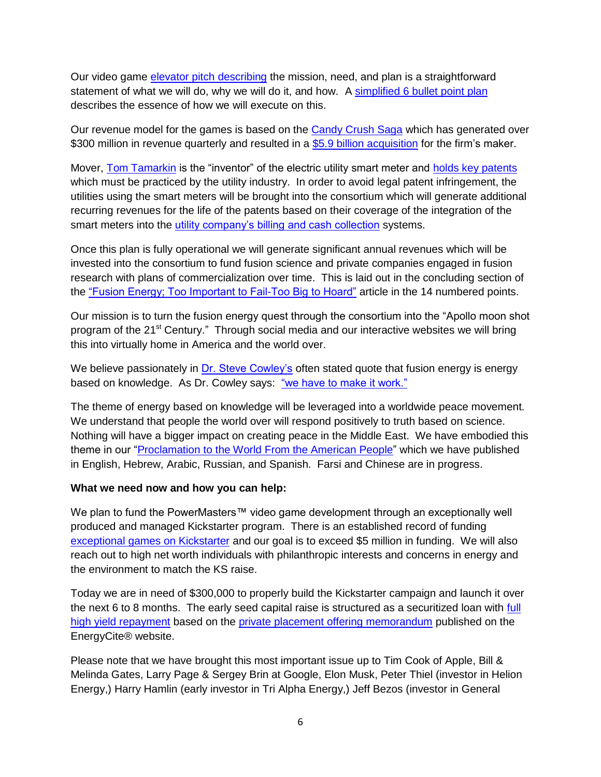Our video game [elevator pitch describing](http://energycite.com/gameElevator.php) the mission, need, and plan is a straightforward statement of what we will do, why we will do it, and how. A [simplified 6 bullet point plan](http://energycite.com/plan.php) describes the essence of how we will execute on this.

Our revenue model for the games is based on the [Candy Crush Saga](http://fuelrfuture.com/candy-crush-saga-maker-king-reports-strong-q1-with-569m-in-adjusted-revenue-and-61-cents-a-share-profit/) which has generated over \$300 million in revenue quarterly and resulted in a [\\$5.9 billion acquisition](http://fuelrfuture.com/activision-buys-candy-crush-maker-king-for-5-9-billion/) for the firm's maker.

Mover, [Tom Tamarkin](http://fusion4freedom.us/category/about/history/) is the "inventor" of the electric utility smart meter and [holds key patents](http://fuelrfuture.com/patents/) which must be practiced by the utility industry. In order to avoid legal patent infringement, the utilities using the smart meters will be brought into the consortium which will generate additional recurring revenues for the life of the patents based on their coverage of the integration of the smart meters into the [utility company's billing and cash collection](http://fuelrfuture.com/uscl-or-utility-services-customer-link-business-model/) systems.

Once this plan is fully operational we will generate significant annual revenues which will be invested into the consortium to fund fusion science and private companies engaged in fusion research with plans of commercialization over time. This is laid out in the concluding section of the ["Fusion Energy; Too Important to Fail-Too Big to Hoard"](http://fusion4freedom.us/fusion-energy-too-important-to-fail-too-big-to-hoard/) article in the 14 numbered points.

Our mission is to turn the fusion energy quest through the consortium into the "Apollo moon shot program of the 21<sup>st</sup> Century." Through social media and our interactive websites we will bring this into virtually home in America and the world over.

We believe passionately in [Dr. Steve Cowley's](http://fusion4freedom.us/steven-cowley-believes-fusion-is-the-future-of-energy/) often stated quote that fusion energy is energy based on knowledge. As Dr. Cowley says: ["we have to make it work."](http://fusion4freedom.us/when-you-wish-upon-a-star-nuclear-fusion-and-the-promise-of-a-brighter-tomorrow/#waiting)

The theme of energy based on knowledge will be leveraged into a worldwide peace movement. We understand that people the world over will respond positively to truth based on science. Nothing will have a bigger impact on creating peace in the Middle East. We have embodied this theme in our "Proclamation to the World [From the American People"](http://fusion4freedom.us/a-proclamation-to-the-world/) which we have published in English, Hebrew, Arabic, Russian, and Spanish. Farsi and Chinese are in progress.

## **What we need now and how you can help:**

We plan to fund the PowerMasters™ video game development through an exceptionally well produced and managed Kickstarter program. There is an established record of funding [exceptional games on Kickstarter](http://fusion4freedom.us/38-of-the-top-crowd-funding-projects-for-june-2015-are-games/) and our goal is to exceed \$5 million in funding. We will also reach out to high net worth individuals with philanthropic interests and concerns in energy and the environment to match the KS raise.

Today we are in need of \$300,000 to properly build the Kickstarter campaign and launch it over the next 6 to 8 months. The early seed capital raise is structured as a securitized loan with full [high yield repayment](http://energycite.com/opportunity.php) based on the [private placement offering memorandum](http://energycite.com/docs/EnergyCite-Bond-Offering-Circular.pdf) published on the EnergyCite® website.

Please note that we have brought this most important issue up to Tim Cook of Apple, Bill & Melinda Gates, Larry Page & Sergey Brin at Google, Elon Musk, Peter Thiel (investor in Helion Energy,) Harry Hamlin (early investor in Tri Alpha Energy,) Jeff Bezos (investor in General